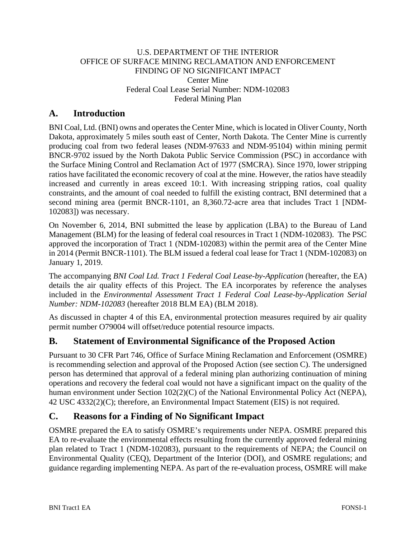#### U.S. DEPARTMENT OF THE INTERIOR OFFICE OF SURFACE MINING RECLAMATION AND ENFORCEMENT FINDING OF NO SIGNIFICANT IMPACT Center Mine Federal Coal Lease Serial Number: NDM-102083 Federal Mining Plan

# **A. Introduction**

BNI Coal, Ltd. (BNI) owns and operates the Center Mine, which is located in Oliver County, North Dakota, approximately 5 miles south east of Center, North Dakota. The Center Mine is currently producing coal from two federal leases (NDM-97633 and NDM-95104) within mining permit BNCR-9702 issued by the North Dakota Public Service Commission (PSC) in accordance with the Surface Mining Control and Reclamation Act of 1977 (SMCRA). Since 1970, lower stripping ratios have facilitated the economic recovery of coal at the mine. However, the ratios have steadily increased and currently in areas exceed 10:1. With increasing stripping ratios, coal quality constraints, and the amount of coal needed to fulfill the existing contract, BNI determined that a second mining area (permit BNCR-1101, an 8,360.72-acre area that includes Tract 1 [NDM-102083]) was necessary.

On November 6, 2014, BNI submitted the lease by application (LBA) to the Bureau of Land Management (BLM) for the leasing of federal coal resources in Tract 1 (NDM-102083). The PSC approved the incorporation of Tract 1 (NDM-102083) within the permit area of the Center Mine in 2014 (Permit BNCR-1101). The BLM issued a federal coal lease for Tract 1 (NDM-102083) on January 1, 2019.

The accompanying *BNI Coal Ltd. Tract 1 Federal Coal Lease-by-Application* (hereafter, the EA) details the air quality effects of this Project. The EA incorporates by reference the analyses included in the *Environmental Assessment Tract 1 Federal Coal Lease-by-Application Serial Number: NDM-102083* (hereafter 2018 BLM EA) (BLM 2018).

As discussed in chapter 4 of this EA, environmental protection measures required by air quality permit number O79004 will offset/reduce potential resource impacts.

# **B. Statement of Environmental Significance of the Proposed Action**

Pursuant to 30 CFR Part 746, Office of Surface Mining Reclamation and Enforcement (OSMRE) is recommending selection and approval of the Proposed Action (see section C). The undersigned person has determined that approval of a federal mining plan authorizing continuation of mining operations and recovery the federal coal would not have a significant impact on the quality of the human environment under Section 102(2)(C) of the National Environmental Policy Act (NEPA), 42 USC 4332(2)(C); therefore, an Environmental Impact Statement (EIS) is not required.

# **C. Reasons for a Finding of No Significant Impact**

OSMRE prepared the EA to satisfy OSMRE's requirements under NEPA. OSMRE prepared this EA to re-evaluate the environmental effects resulting from the currently approved federal mining plan related to Tract 1 (NDM-102083), pursuant to the requirements of NEPA; the Council on Environmental Quality (CEQ), Department of the Interior (DOI), and OSMRE regulations; and guidance regarding implementing NEPA. As part of the re-evaluation process, OSMRE will make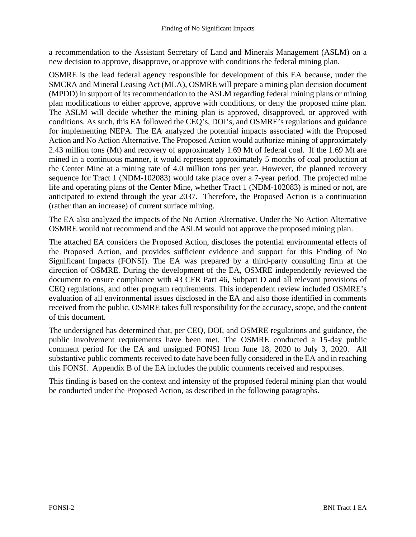a recommendation to the Assistant Secretary of Land and Minerals Management (ASLM) on a new decision to approve, disapprove, or approve with conditions the federal mining plan.

OSMRE is the lead federal agency responsible for development of this EA because, under the SMCRA and Mineral Leasing Act (MLA), OSMRE will prepare a mining plan decision document (MPDD) in support of its recommendation to the ASLM regarding federal mining plans or mining plan modifications to either approve, approve with conditions, or deny the proposed mine plan. The ASLM will decide whether the mining plan is approved, disapproved, or approved with conditions. As such, this EA followed the CEQ's, DOI's, and OSMRE's regulations and guidance for implementing NEPA. The EA analyzed the potential impacts associated with the Proposed Action and No Action Alternative. The Proposed Action would authorize mining of approximately 2.43 million tons (Mt) and recovery of approximately 1.69 Mt of federal coal. If the 1.69 Mt are mined in a continuous manner, it would represent approximately 5 months of coal production at the Center Mine at a mining rate of 4.0 million tons per year. However, the planned recovery sequence for Tract 1 (NDM-102083) would take place over a 7-year period. The projected mine life and operating plans of the Center Mine, whether Tract 1 (NDM-102083) is mined or not, are anticipated to extend through the year 2037. Therefore, the Proposed Action is a continuation (rather than an increase) of current surface mining.

The EA also analyzed the impacts of the No Action Alternative. Under the No Action Alternative OSMRE would not recommend and the ASLM would not approve the proposed mining plan.

The attached EA considers the Proposed Action, discloses the potential environmental effects of the Proposed Action, and provides sufficient evidence and support for this Finding of No Significant Impacts (FONSI). The EA was prepared by a third-party consulting firm at the direction of OSMRE. During the development of the EA, OSMRE independently reviewed the document to ensure compliance with 43 CFR Part 46, Subpart D and all relevant provisions of CEQ regulations, and other program requirements. This independent review included OSMRE's evaluation of all environmental issues disclosed in the EA and also those identified in comments received from the public. OSMRE takes full responsibility for the accuracy, scope, and the content of this document.

The undersigned has determined that, per CEQ, DOI, and OSMRE regulations and guidance, the public involvement requirements have been met. The OSMRE conducted a 15-day public comment period for the EA and unsigned FONSI from June 18, 2020 to July 3, 2020. All substantive public comments received to date have been fully considered in the EA and in reaching this FONSI. Appendix B of the EA includes the public comments received and responses.

This finding is based on the context and intensity of the proposed federal mining plan that would be conducted under the Proposed Action, as described in the following paragraphs.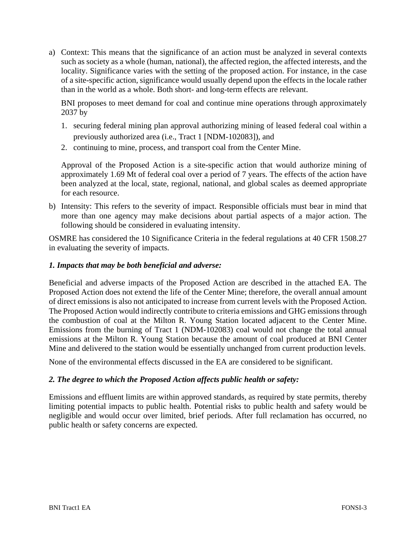a) Context: This means that the significance of an action must be analyzed in several contexts such as society as a whole (human, national), the affected region, the affected interests, and the locality. Significance varies with the setting of the proposed action. For instance, in the case of a site-specific action, significance would usually depend upon the effects in the locale rather than in the world as a whole. Both short- and long-term effects are relevant.

BNI proposes to meet demand for coal and continue mine operations through approximately 2037 by

- 1. securing federal mining plan approval authorizing mining of leased federal coal within a previously authorized area (i.e., Tract 1 [NDM-102083]), and
- 2. continuing to mine, process, and transport coal from the Center Mine.

Approval of the Proposed Action is a site-specific action that would authorize mining of approximately 1.69 Mt of federal coal over a period of 7 years. The effects of the action have been analyzed at the local, state, regional, national, and global scales as deemed appropriate for each resource.

b) Intensity: This refers to the severity of impact. Responsible officials must bear in mind that more than one agency may make decisions about partial aspects of a major action. The following should be considered in evaluating intensity.

OSMRE has considered the 10 Significance Criteria in the federal regulations at 40 CFR 1508.27 in evaluating the severity of impacts.

#### *1. Impacts that may be both beneficial and adverse:*

Beneficial and adverse impacts of the Proposed Action are described in the attached EA. The Proposed Action does not extend the life of the Center Mine; therefore, the overall annual amount of direct emissions is also not anticipated to increase from current levels with the Proposed Action. The Proposed Action would indirectly contribute to criteria emissions and GHG emissions through the combustion of coal at the Milton R. Young Station located adjacent to the Center Mine. Emissions from the burning of Tract 1 (NDM-102083) coal would not change the total annual emissions at the Milton R. Young Station because the amount of coal produced at BNI Center Mine and delivered to the station would be essentially unchanged from current production levels.

None of the environmental effects discussed in the EA are considered to be significant.

### *2. The degree to which the Proposed Action affects public health or safety:*

Emissions and effluent limits are within approved standards, as required by state permits, thereby limiting potential impacts to public health. Potential risks to public health and safety would be negligible and would occur over limited, brief periods. After full reclamation has occurred, no public health or safety concerns are expected.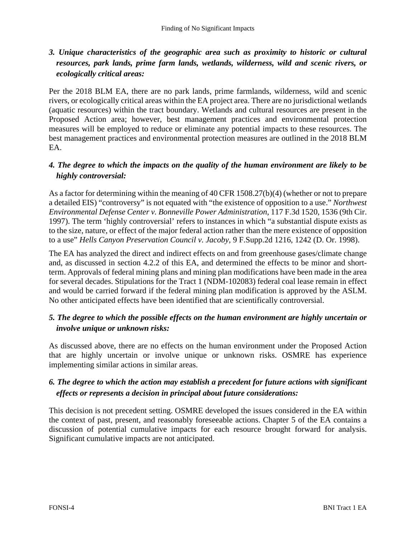# *3. Unique characteristics of the geographic area such as proximity to historic or cultural resources, park lands, prime farm lands, wetlands, wilderness, wild and scenic rivers, or ecologically critical areas:*

Per the 2018 BLM EA, there are no park lands, prime farmlands, wilderness, wild and scenic rivers, or ecologically critical areas within the EA project area. There are no jurisdictional wetlands (aquatic resources) within the tract boundary. Wetlands and cultural resources are present in the Proposed Action area; however, best management practices and environmental protection measures will be employed to reduce or eliminate any potential impacts to these resources. The best management practices and environmental protection measures are outlined in the 2018 BLM EA.

### *4. The degree to which the impacts on the quality of the human environment are likely to be highly controversial:*

As a factor for determining within the meaning of 40 CFR 1508.27(b)(4) (whether or not to prepare a detailed EIS) "controversy" is not equated with "the existence of opposition to a use." *Northwest Environmental Defense Center v. Bonneville Power Administration*, 117 F.3d 1520, 1536 (9th Cir. 1997). The term 'highly controversial' refers to instances in which "a substantial dispute exists as to the size, nature, or effect of the major federal action rather than the mere existence of opposition to a use" *Hells Canyon Preservation Council v. Jacoby*, 9 F.Supp.2d 1216, 1242 (D. Or. 1998).

The EA has analyzed the direct and indirect effects on and from greenhouse gases/climate change and, as discussed in section 4.2.2 of this EA, and determined the effects to be minor and shortterm. Approvals of federal mining plans and mining plan modifications have been made in the area for several decades. Stipulations for the Tract 1 (NDM-102083) federal coal lease remain in effect and would be carried forward if the federal mining plan modification is approved by the ASLM. No other anticipated effects have been identified that are scientifically controversial.

# *5. The degree to which the possible effects on the human environment are highly uncertain or involve unique or unknown risks:*

As discussed above, there are no effects on the human environment under the Proposed Action that are highly uncertain or involve unique or unknown risks. OSMRE has experience implementing similar actions in similar areas.

# *6. The degree to which the action may establish a precedent for future actions with significant effects or represents a decision in principal about future considerations:*

This decision is not precedent setting. OSMRE developed the issues considered in the EA within the context of past, present, and reasonably foreseeable actions. Chapter 5 of the EA contains a discussion of potential cumulative impacts for each resource brought forward for analysis. Significant cumulative impacts are not anticipated.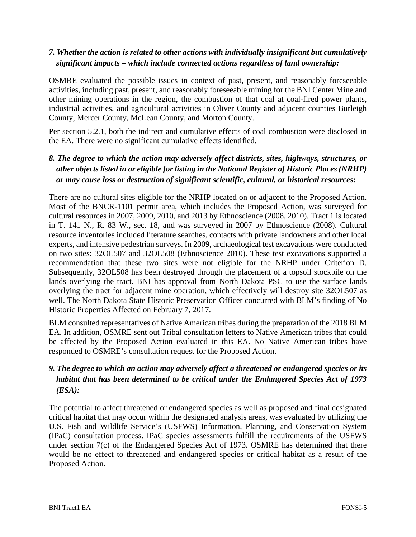### *7. Whether the action is related to other actions with individually insignificant but cumulatively significant impacts – which include connected actions regardless of land ownership:*

OSMRE evaluated the possible issues in context of past, present, and reasonably foreseeable activities, including past, present, and reasonably foreseeable mining for the BNI Center Mine and other mining operations in the region, the combustion of that coal at coal-fired power plants, industrial activities, and agricultural activities in Oliver County and adjacent counties Burleigh County, Mercer County, McLean County, and Morton County.

Per section 5.2.1, both the indirect and cumulative effects of coal combustion were disclosed in the EA. There were no significant cumulative effects identified.

# *8. The degree to which the action may adversely affect districts, sites, highways, structures, or other objects listed in or eligible for listing in the National Register of Historic Places (NRHP) or may cause loss or destruction of significant scientific, cultural, or historical resources:*

There are no cultural sites eligible for the NRHP located on or adjacent to the Proposed Action. Most of the BNCR-1101 permit area, which includes the Proposed Action, was surveyed for cultural resources in 2007, 2009, 2010, and 2013 by Ethnoscience (2008, 2010). Tract 1 is located in T. 141 N., R. 83 W., sec. 18, and was surveyed in 2007 by Ethnoscience (2008). Cultural resource inventories included literature searches, contacts with private landowners and other local experts, and intensive pedestrian surveys. In 2009, archaeological test excavations were conducted on two sites: 32OL507 and 32OL508 (Ethnoscience 2010). These test excavations supported a recommendation that these two sites were not eligible for the NRHP under Criterion D. Subsequently, 32OL508 has been destroyed through the placement of a topsoil stockpile on the lands overlying the tract. BNI has approval from North Dakota PSC to use the surface lands overlying the tract for adjacent mine operation, which effectively will destroy site 32OL507 as well. The North Dakota State Historic Preservation Officer concurred with BLM's finding of No Historic Properties Affected on February 7, 2017.

BLM consulted representatives of Native American tribes during the preparation of the 2018 BLM EA. In addition, OSMRE sent out Tribal consultation letters to Native American tribes that could be affected by the Proposed Action evaluated in this EA. No Native American tribes have responded to OSMRE's consultation request for the Proposed Action.

# *9. The degree to which an action may adversely affect a threatened or endangered species or its habitat that has been determined to be critical under the Endangered Species Act of 1973 (ESA):*

The potential to affect threatened or endangered species as well as proposed and final designated critical habitat that may occur within the designated analysis areas, was evaluated by utilizing the U.S. Fish and Wildlife Service's (USFWS) Information, Planning, and Conservation System (IPaC) consultation process. IPaC species assessments fulfill the requirements of the USFWS under section 7(c) of the Endangered Species Act of 1973. OSMRE has determined that there would be no effect to threatened and endangered species or critical habitat as a result of the Proposed Action.